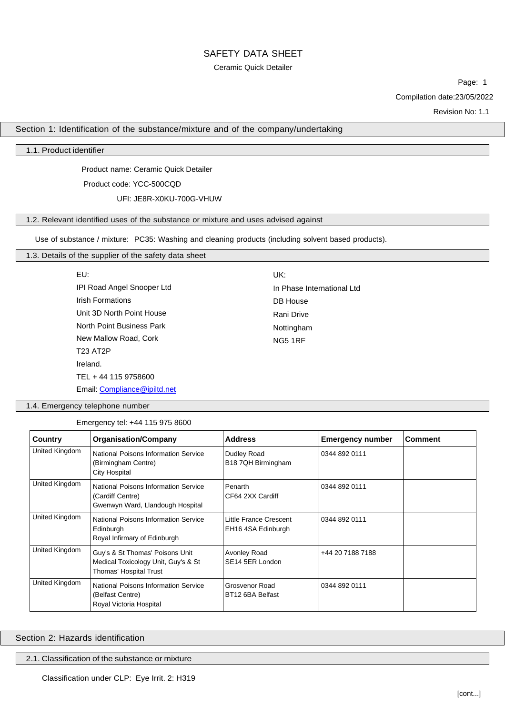# Ceramic Quick Detailer

Page: 1 Compilation date:23/05/2022

Revision No: 1.1

Section 1: Identification of the substance/mixture and of the company/undertaking

# 1.1. Product identifier

Product name: Ceramic Quick Detailer

Product code: YCC-500CQD

UFI: JE8R-X0KU-700G-VHUW

# 1.2. Relevant identified uses of the substance or mixture and uses advised against

Use of substance / mixture: PC35: Washing and cleaning products (including solvent based products).

# 1.3. Details of the supplier of the safety data sheet

| EU:                        | UK:                        |
|----------------------------|----------------------------|
| IPI Road Angel Snooper Ltd | In Phase International Ltd |
| <b>Irish Formations</b>    | <b>DB</b> House            |
| Unit 3D North Point House  | Rani Drive                 |
| North Point Business Park  | Nottingham                 |
| New Mallow Road, Cork      | <b>NG5 1RF</b>             |
| <b>T23 AT2P</b>            |                            |
| Ireland.                   |                            |
| TEL + 44 115 9758600       |                            |

Email: [Compliance@ipiltd.net](mailto:Compliance@ipiltd.net)

1.4. Emergency telephone number

Emergency tel: +44 115 975 8600

| Country        | <b>Organisation/Company</b>                                                                      | <b>Address</b>                               | <b>Emergency number</b> | <b>Comment</b> |
|----------------|--------------------------------------------------------------------------------------------------|----------------------------------------------|-------------------------|----------------|
| United Kingdom | National Poisons Information Service<br>(Birmingham Centre)<br><b>City Hospital</b>              | Dudley Road<br>B18 7QH Birmingham            | 0344 892 0111           |                |
| United Kingdom | National Poisons Information Service<br>(Cardiff Centre)<br>Gwenwyn Ward, Llandough Hospital     | Penarth<br>CF64 2XX Cardiff                  | 0344 892 0111           |                |
| United Kingdom | National Poisons Information Service<br>Edinburgh<br>Royal Infirmary of Edinburgh                | Little France Crescent<br>EH16 4SA Edinburgh | 0344 892 0111           |                |
| United Kingdom | Guy's & St Thomas' Poisons Unit<br>Medical Toxicology Unit, Guy's & St<br>Thomas' Hospital Trust | Avonley Road<br>SE14 5ER London              | +44 20 7188 7188        |                |
| United Kingdom | National Poisons Information Service<br>(Belfast Centre)<br>Royal Victoria Hospital              | Grosvenor Road<br>BT12 6BA Belfast           | 0344 892 0111           |                |

Section 2: Hazards identification

2.1. Classification of the substance or mixture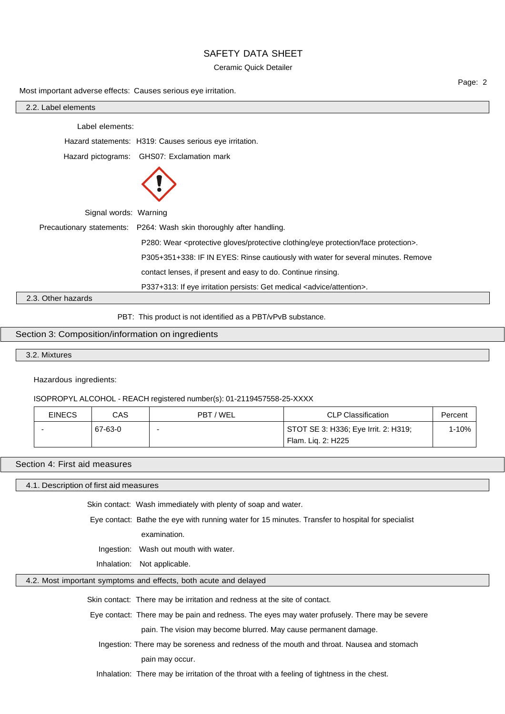## Ceramic Quick Detailer

Most important adverse effects: Causes serious eye irritation.

| 2.2. Label elements   |                                                                                                        |
|-----------------------|--------------------------------------------------------------------------------------------------------|
| Label elements:       |                                                                                                        |
|                       | Hazard statements: H319: Causes serious eye irritation.                                                |
|                       | Hazard pictograms: GHS07: Exclamation mark                                                             |
|                       |                                                                                                        |
| Signal words: Warning |                                                                                                        |
|                       | Precautionary statements: P264: Wash skin thoroughly after handling.                                   |
|                       | P280: Wear <protective clothing="" eye="" face="" gloves="" protection="" protective="">.</protective> |
|                       | P305+351+338: IF IN EYES: Rinse cautiously with water for several minutes. Remove                      |
|                       | contact lenses, if present and easy to do. Continue rinsing.                                           |
|                       | P337+313: If eye irritation persists: Get medical <advice attention="">.</advice>                      |
| 2.3. Other hazards    |                                                                                                        |
|                       | PBT: This product is not identified as a PBT/vPvB substance.                                           |

#### Section 3: Composition/information on ingredients

3.2. Mixtures

Hazardous ingredients:

### ISOPROPYL ALCOHOL - REACH registered number(s): 01-2119457558-25-XXXX

| <b>EINECS</b> | CAS     | PBT / WEL | CLP Classification                                         | Percent |
|---------------|---------|-----------|------------------------------------------------------------|---------|
|               | 67-63-0 |           | STOT SE 3: H336; Eye Irrit. 2: H319;<br>Flam. Lig. 2: H225 | 1-10%   |

# Section 4: First aid measures

4.1. Description of first aid measures

Skin contact: Wash immediately with plenty of soap and water.

Eye contact: Bathe the eye with running water for 15 minutes. Transfer to hospital for specialist

examination.

Ingestion: Wash out mouth with water.

Inhalation: Not applicable.

# 4.2. Most important symptoms and effects, both acute and delayed

Skin contact: There may be irritation and redness at the site of contact.

Eye contact: There may be pain and redness. The eyes may water profusely. There may be severe pain. The vision may become blurred. May cause permanent damage.

Ingestion: There may be soreness and redness of the mouth and throat. Nausea and stomach

pain may occur.

Inhalation: There may be irritation of the throat with a feeling of tightness in the chest.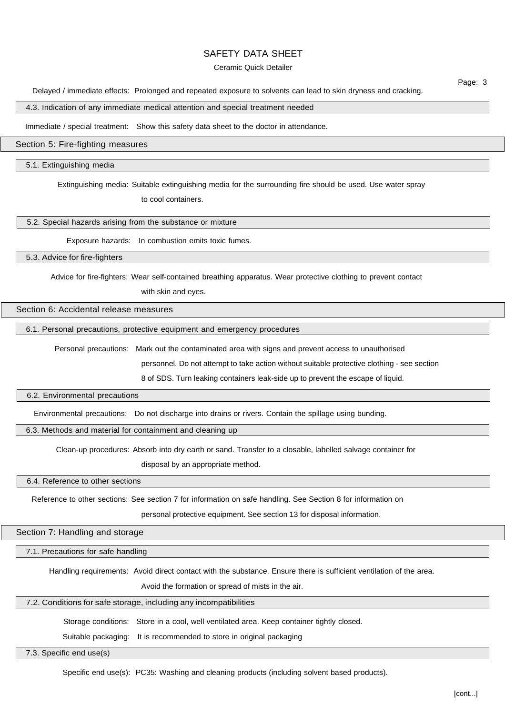#### Ceramic Quick Detailer

Delayed / immediate effects: Prolonged and repeated exposure to solvents can lead to skin dryness and cracking.

## 4.3. Indication of any immediate medical attention and special treatment needed

Immediate / special treatment: Show this safety data sheet to the doctor in attendance.

# Section 5: Fire-fighting measures

#### 5.1. Extinguishing media

Extinguishing media: Suitable extinguishing media for the surrounding fire should be used. Use water spray

to cool containers.

5.2. Special hazards arising from the substance or mixture

Exposure hazards: In combustion emits toxic fumes.

5.3. Advice for fire-fighters

Advice for fire-fighters: Wear self-contained breathing apparatus. Wear protective clothing to prevent contact

with skin and eyes.

## Section 6: Accidental release measures

6.1. Personal precautions, protective equipment and emergency procedures

Personal precautions: Mark out the contaminated area with signs and prevent access to unauthorised

personnel. Do not attempt to take action without suitable protective clothing - see section

8 of SDS. Turn leaking containers leak-side up to prevent the escape of liquid.

### 6.2. Environmental precautions

Environmental precautions: Do not discharge into drains or rivers. Contain the spillage using bunding.

6.3. Methods and material for containment and cleaning up

Clean-up procedures: Absorb into dry earth or sand. Transfer to a closable, labelled salvage container for

disposal by an appropriate method.

6.4. Reference to other sections

Reference to other sections: See section 7 for information on safe handling. See Section 8 for information on

personal protective equipment. See section 13 for disposal information.

Section 7: Handling and storage

7.1. Precautions for safe handling

Handling requirements: Avoid direct contact with the substance. Ensure there is sufficient ventilation of the area.

Avoid the formation or spread of mists in the air.

#### 7.2. Conditions for safe storage, including any incompatibilities

Storage conditions: Store in a cool, well ventilated area. Keep container tightly closed.

Suitable packaging: It is recommended to store in original packaging

7.3. Specific end use(s)

Specific end use(s): PC35: Washing and cleaning products (including solvent based products).

Page: 3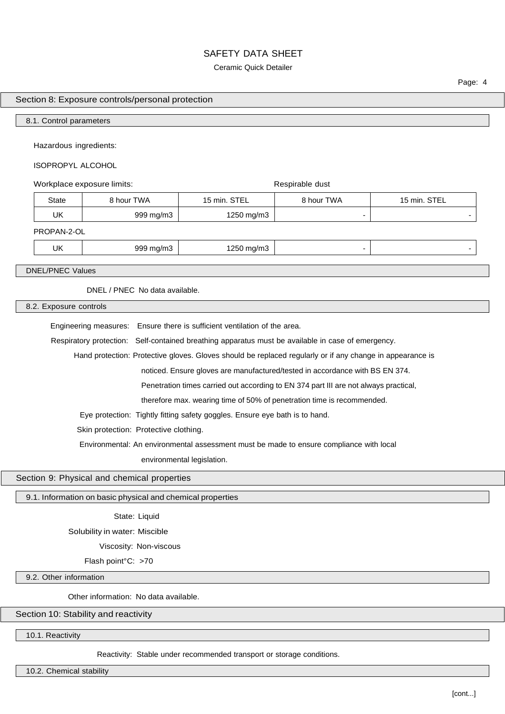#### Ceramic Quick Detailer

Page: 4

# Section 8: Exposure controls/personal protection

#### 8.1. Control parameters

Hazardous ingredients:

# ISOPROPYL ALCOHOL

# Workplace exposure limits:  $\qquad \qquad$  Respirable dust State | 8 hour TWA | 15 min. STEL | 8 hour TWA | 15 min. STEL UK 999 mg/m3 1250 mg/m3 - - PROPAN-2-OL UK 999 mg/m3 1250 mg/m3 3 1250 mg/m3 1250 mg/m3 1250 mg/m3 1250 mg/m3 1

DNEL/PNEC Values

DNEL / PNEC No data available.

8.2. Exposure controls

Engineering measures: Ensure there is sufficient ventilation of the area.

Respiratory protection: Self-contained breathing apparatus must be available in case of emergency.

Hand protection: Protective gloves. Gloves should be replaced regularly or if any change in appearance is

noticed. Ensure gloves are manufactured/tested in accordance with BS EN 374.

Penetration times carried out according to EN 374 part III are not always practical,

therefore max. wearing time of 50% of penetration time is recommended.

Eye protection: Tightly fitting safety goggles. Ensure eye bath is to hand.

Skin protection: Protective clothing.

Environmental: An environmental assessment must be made to ensure compliance with local

environmental legislation.

# Section 9: Physical and chemical properties

# 9.1. Information on basic physical and chemical properties

State: Liquid

Solubility in water: Miscible

Viscosity: Non-viscous

Flash point°C: >70

9.2. Other information

Other information: No data available.

# Section 10: Stability and reactivity

10.1. Reactivity

Reactivity: Stable under recommended transport or storage conditions.

10.2. Chemical stability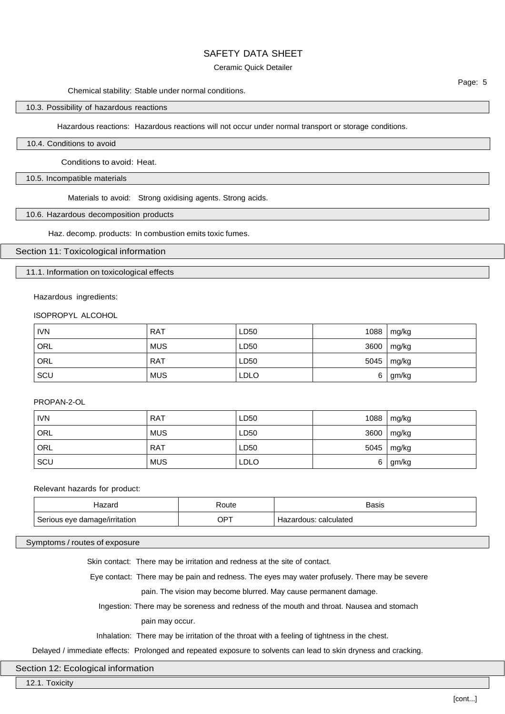### Ceramic Quick Detailer

### Chemical stability: Stable under normal conditions.

# 10.3. Possibility of hazardous reactions

Hazardous reactions: Hazardous reactions will not occur under normal transport or storage conditions.

## 10.4. Conditions to avoid

Conditions to avoid: Heat.

#### 10.5. Incompatible materials

Materials to avoid: Strong oxidising agents. Strong acids.

#### 10.6. Hazardous decomposition products

Haz. decomp. products: In combustion emits toxic fumes.

#### Section 11: Toxicological information

11.1. Information on toxicological effects

#### Hazardous ingredients:

# ISOPROPYL ALCOHOL

| <b>IVN</b> | <b>RAT</b> | LD50        | 1088 | mg/kg |
|------------|------------|-------------|------|-------|
| ORL        | <b>MUS</b> | LD50        | 3600 | mg/kg |
| ORL        | <b>RAT</b> | LD50        | 5045 | mg/kg |
| SCU        | <b>MUS</b> | <b>LDLO</b> | 6    | gm/kg |

#### PROPAN-2-OL

| <b>IVN</b> | <b>RAT</b> | LD50        | 1088 | mg/kg      |
|------------|------------|-------------|------|------------|
| ORL        | <b>MUS</b> | LD50        |      | 3600 mg/kg |
| ORL        | <b>RAT</b> | LD50        | 5045 | mg/kg      |
| SCU        | <b>MUS</b> | <b>LDLO</b> | 6    | gm/kg      |

### Relevant hazards for product:

| ⊣azard                        | रoute  | Basis                 |
|-------------------------------|--------|-----------------------|
| Serious eye damage/irritation | $OP^+$ | Hazardous: calculated |

## Symptoms / routes of exposure

Skin contact: There may be irritation and redness at the site of contact.

Eye contact: There may be pain and redness. The eyes may water profusely. There may be severe

pain. The vision may become blurred. May cause permanent damage.

Ingestion: There may be soreness and redness of the mouth and throat. Nausea and stomach

pain may occur.

Inhalation: There may be irritation of the throat with a feeling of tightness in the chest.

Delayed / immediate effects: Prolonged and repeated exposure to solvents can lead to skin dryness and cracking.

### Section 12: Ecological information

12.1. Toxicity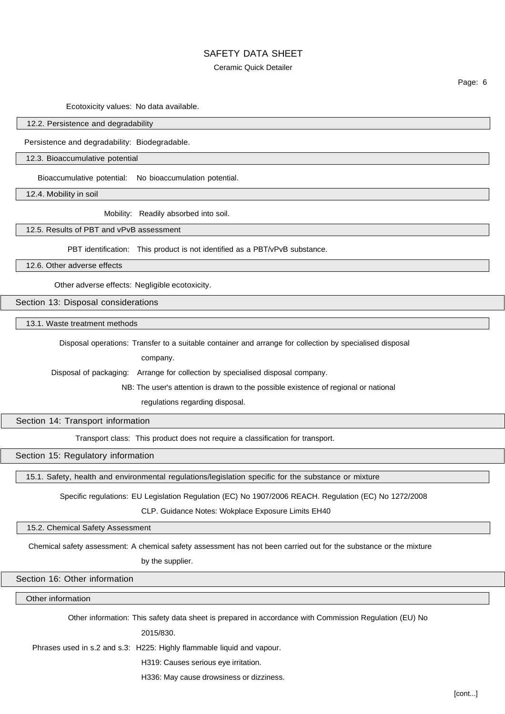#### Ceramic Quick Detailer

Ecotoxicity values: No data available.

#### 12.2. Persistence and degradability

Persistence and degradability: Biodegradable.

12.3. Bioaccumulative potential

Bioaccumulative potential: No bioaccumulation potential.

12.4. Mobility in soil

Mobility: Readily absorbed into soil.

12.5. Results of PBT and vPvB assessment

PBT identification: This product is not identified as a PBT/vPvB substance.

12.6. Other adverse effects

Other adverse effects: Negligible ecotoxicity.

Section 13: Disposal considerations

13.1. Waste treatment methods

Disposal operations: Transfer to a suitable container and arrange for collection by specialised disposal

company.

Disposal of packaging: Arrange for collection by specialised disposal company.

NB: The user's attention is drawn to the possible existence of regional or national

regulations regarding disposal.

Section 14: Transport information

Transport class: This product does not require a classification for transport.

Section 15: Regulatory information

15.1. Safety, health and environmental regulations/legislation specific for the substance or mixture

Specific regulations: EU Legislation Regulation (EC) No 1907/2006 REACH. Regulation (EC) No 1272/2008

CLP. Guidance Notes: Wokplace Exposure Limits EH40

15.2. Chemical Safety Assessment

Chemical safety assessment: A chemical safety assessment has not been carried out for the substance or the mixture

by the supplier.

Section 16: Other information

Other information

Other information: This safety data sheet is prepared in accordance with Commission Regulation (EU) No

2015/830.

Phrases used in s.2 and s.3: H225: Highly flammable liquid and vapour.

H319: Causes serious eye irritation.

H336: May cause drowsiness or dizziness.

Page: 6